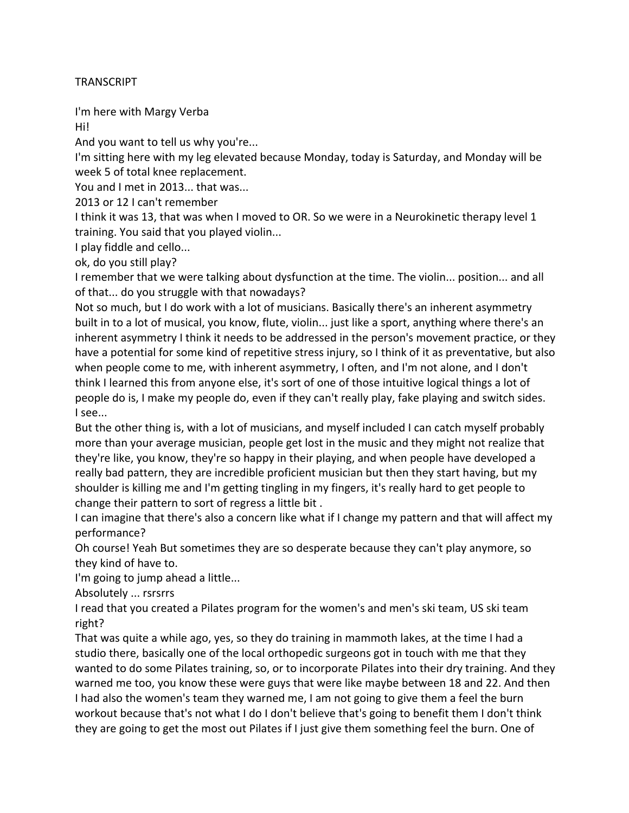## **TRANSCRIPT**

I'm here with Margy Verba

Hi! 

And you want to tell us why you're...

I'm sitting here with my leg elevated because Monday, today is Saturday, and Monday will be week 5 of total knee replacement.

You and I met in 2013... that was...

2013 or 12 I can't remember

I think it was 13, that was when I moved to OR. So we were in a Neurokinetic therapy level 1 training. You said that you played violin...

I play fiddle and cello...

ok, do you still play?

I remember that we were talking about dysfunction at the time. The violin... position... and all of that... do you struggle with that nowadays?

Not so much, but I do work with a lot of musicians. Basically there's an inherent asymmetry built in to a lot of musical, you know, flute, violin... just like a sport, anything where there's an inherent asymmetry I think it needs to be addressed in the person's movement practice, or they have a potential for some kind of repetitive stress injury, so I think of it as preventative, but also when people come to me, with inherent asymmetry, I often, and I'm not alone, and I don't think I learned this from anyone else, it's sort of one of those intuitive logical things a lot of people do is, I make my people do, even if they can't really play, fake playing and switch sides. I see...

But the other thing is, with a lot of musicians, and myself included I can catch myself probably more than your average musician, people get lost in the music and they might not realize that they're like, you know, they're so happy in their playing, and when people have developed a really bad pattern, they are incredible proficient musician but then they start having, but my shoulder is killing me and I'm getting tingling in my fingers, it's really hard to get people to change their pattern to sort of regress a little bit.

I can imagine that there's also a concern like what if I change my pattern and that will affect my performance?

Oh course! Yeah But sometimes they are so desperate because they can't play anymore, so they kind of have to.

I'm going to jump ahead a little...

Absolutely ... rsrsrrs

I read that you created a Pilates program for the women's and men's ski team, US ski team right? 

That was quite a while ago, yes, so they do training in mammoth lakes, at the time I had a studio there, basically one of the local orthopedic surgeons got in touch with me that they wanted to do some Pilates training, so, or to incorporate Pilates into their dry training. And they warned me too, you know these were guys that were like maybe between 18 and 22. And then I had also the women's team they warned me, I am not going to give them a feel the burn workout because that's not what I do I don't believe that's going to benefit them I don't think they are going to get the most out Pilates if I just give them something feel the burn. One of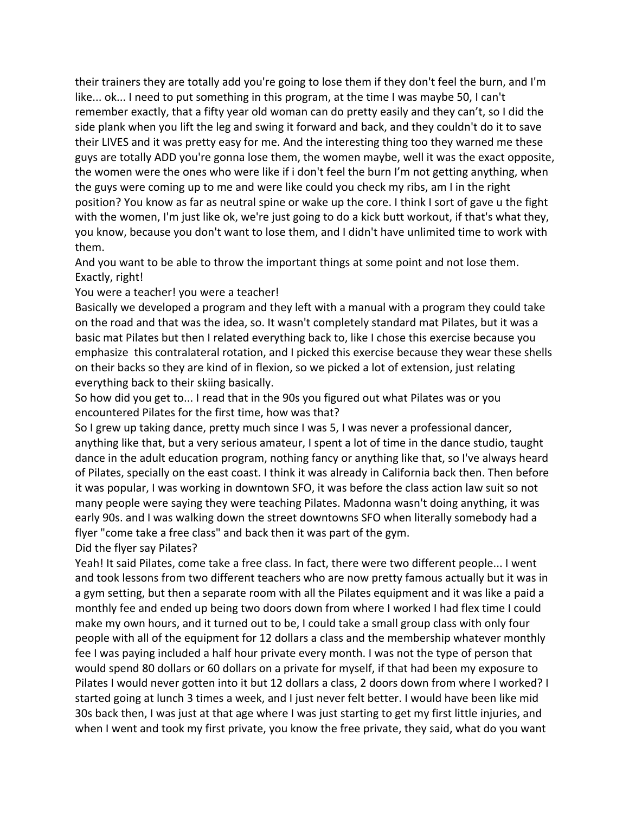their trainers they are totally add you're going to lose them if they don't feel the burn, and I'm like... ok... I need to put something in this program, at the time I was maybe 50, I can't remember exactly, that a fifty year old woman can do pretty easily and they can't, so I did the side plank when you lift the leg and swing it forward and back, and they couldn't do it to save their LIVES and it was pretty easy for me. And the interesting thing too they warned me these guys are totally ADD you're gonna lose them, the women maybe, well it was the exact opposite, the women were the ones who were like if i don't feel the burn I'm not getting anything, when the guys were coming up to me and were like could you check my ribs, am I in the right position? You know as far as neutral spine or wake up the core. I think I sort of gave u the fight with the women, I'm just like ok, we're just going to do a kick butt workout, if that's what they, you know, because you don't want to lose them, and I didn't have unlimited time to work with them.

And you want to be able to throw the important things at some point and not lose them. Exactly, right!

You were a teacher! you were a teacher!

Basically we developed a program and they left with a manual with a program they could take on the road and that was the idea, so. It wasn't completely standard mat Pilates, but it was a basic mat Pilates but then I related everything back to, like I chose this exercise because you emphasize this contralateral rotation, and I picked this exercise because they wear these shells on their backs so they are kind of in flexion, so we picked a lot of extension, just relating everything back to their skiing basically.

So how did you get to... I read that in the 90s you figured out what Pilates was or you encountered Pilates for the first time, how was that?

So I grew up taking dance, pretty much since I was 5, I was never a professional dancer, anything like that, but a very serious amateur, I spent a lot of time in the dance studio, taught dance in the adult education program, nothing fancy or anything like that, so I've always heard of Pilates, specially on the east coast. I think it was already in California back then. Then before it was popular, I was working in downtown SFO, it was before the class action law suit so not many people were saying they were teaching Pilates. Madonna wasn't doing anything, it was early 90s. and I was walking down the street downtowns SFO when literally somebody had a flyer "come take a free class" and back then it was part of the gym. Did the flyer say Pilates?

Yeah! It said Pilates, come take a free class. In fact, there were two different people... I went and took lessons from two different teachers who are now pretty famous actually but it was in a gym setting, but then a separate room with all the Pilates equipment and it was like a paid a monthly fee and ended up being two doors down from where I worked I had flex time I could make my own hours, and it turned out to be, I could take a small group class with only four people with all of the equipment for 12 dollars a class and the membership whatever monthly fee I was paying included a half hour private every month. I was not the type of person that would spend 80 dollars or 60 dollars on a private for myself, if that had been my exposure to Pilates I would never gotten into it but 12 dollars a class, 2 doors down from where I worked? I started going at lunch 3 times a week, and I just never felt better. I would have been like mid 30s back then, I was just at that age where I was just starting to get my first little injuries, and when I went and took my first private, you know the free private, they said, what do you want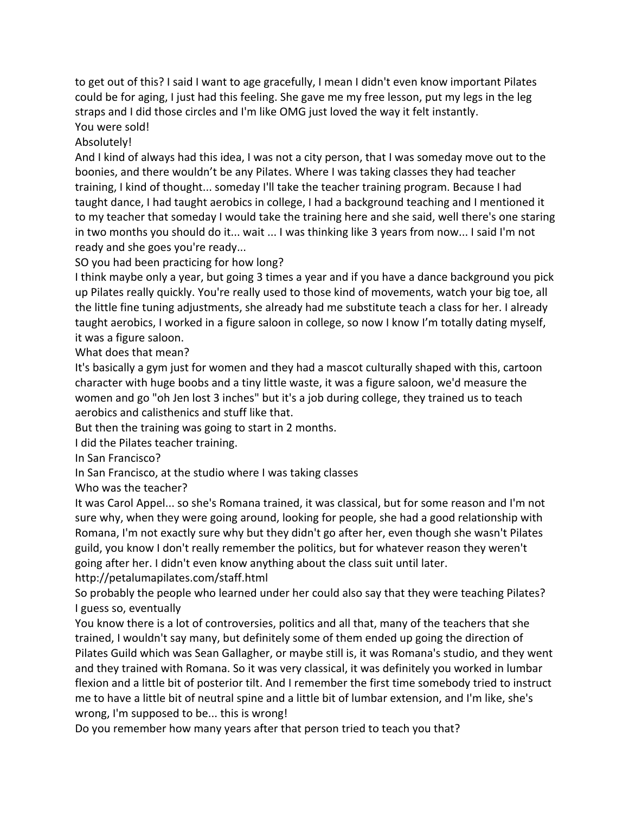to get out of this? I said I want to age gracefully, I mean I didn't even know important Pilates could be for aging, I just had this feeling. She gave me my free lesson, put my legs in the leg straps and I did those circles and I'm like OMG just loved the way it felt instantly. You were sold!

Absolutely!

And I kind of always had this idea, I was not a city person, that I was someday move out to the boonies, and there wouldn't be any Pilates. Where I was taking classes they had teacher training, I kind of thought... someday I'll take the teacher training program. Because I had taught dance, I had taught aerobics in college, I had a background teaching and I mentioned it to my teacher that someday I would take the training here and she said, well there's one staring in two months you should do it... wait ... I was thinking like 3 years from now... I said I'm not ready and she goes you're ready...

SO you had been practicing for how long?

I think maybe only a year, but going 3 times a year and if you have a dance background you pick up Pilates really quickly. You're really used to those kind of movements, watch your big toe, all the little fine tuning adjustments, she already had me substitute teach a class for her. I already taught aerobics, I worked in a figure saloon in college, so now I know I'm totally dating myself, it was a figure saloon.

What does that mean?

It's basically a gym just for women and they had a mascot culturally shaped with this, cartoon character with huge boobs and a tiny little waste, it was a figure saloon, we'd measure the women and go "oh Jen lost 3 inches" but it's a job during college, they trained us to teach aerobics and calisthenics and stuff like that.

But then the training was going to start in 2 months.

I did the Pilates teacher training.

In San Francisco?

In San Francisco, at the studio where I was taking classes

Who was the teacher?

It was Carol Appel... so she's Romana trained, it was classical, but for some reason and I'm not sure why, when they were going around, looking for people, she had a good relationship with Romana, I'm not exactly sure why but they didn't go after her, even though she wasn't Pilates guild, you know I don't really remember the politics, but for whatever reason they weren't going after her. I didn't even know anything about the class suit until later.

http://petalumapilates.com/staff.html

So probably the people who learned under her could also say that they were teaching Pilates? I guess so, eventually

You know there is a lot of controversies, politics and all that, many of the teachers that she trained, I wouldn't say many, but definitely some of them ended up going the direction of Pilates Guild which was Sean Gallagher, or maybe still is, it was Romana's studio, and they went and they trained with Romana. So it was very classical, it was definitely you worked in lumbar flexion and a little bit of posterior tilt. And I remember the first time somebody tried to instruct me to have a little bit of neutral spine and a little bit of lumbar extension, and I'm like, she's wrong, I'm supposed to be... this is wrong!

Do you remember how many years after that person tried to teach you that?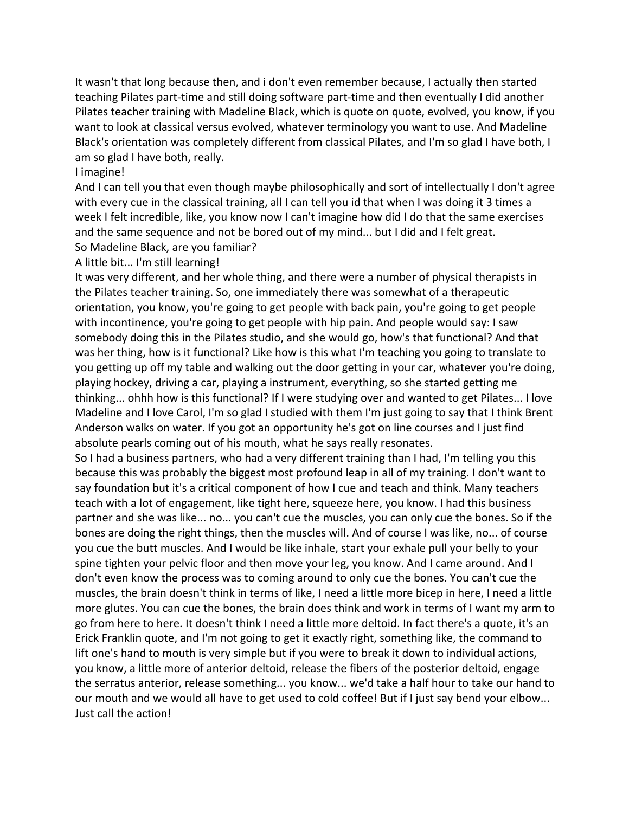It wasn't that long because then, and i don't even remember because, I actually then started teaching Pilates part-time and still doing software part-time and then eventually I did another Pilates teacher training with Madeline Black, which is quote on quote, evolved, you know, if you want to look at classical versus evolved, whatever terminology you want to use. And Madeline Black's orientation was completely different from classical Pilates, and I'm so glad I have both, I am so glad I have both, really.

## I imagine!

And I can tell you that even though maybe philosophically and sort of intellectually I don't agree with every cue in the classical training, all I can tell you id that when I was doing it 3 times a week I felt incredible, like, you know now I can't imagine how did I do that the same exercises and the same sequence and not be bored out of my mind... but I did and I felt great. So Madeline Black, are you familiar?

A little bit... I'm still learning!

It was very different, and her whole thing, and there were a number of physical therapists in the Pilates teacher training. So, one immediately there was somewhat of a therapeutic orientation, you know, you're going to get people with back pain, you're going to get people with incontinence, you're going to get people with hip pain. And people would say: I saw somebody doing this in the Pilates studio, and she would go, how's that functional? And that was her thing, how is it functional? Like how is this what I'm teaching you going to translate to you getting up off my table and walking out the door getting in your car, whatever you're doing, playing hockey, driving a car, playing a instrument, everything, so she started getting me thinking... ohhh how is this functional? If I were studying over and wanted to get Pilates... I love Madeline and I love Carol, I'm so glad I studied with them I'm just going to say that I think Brent Anderson walks on water. If you got an opportunity he's got on line courses and I just find absolute pearls coming out of his mouth, what he says really resonates.

So I had a business partners, who had a very different training than I had, I'm telling you this because this was probably the biggest most profound leap in all of my training. I don't want to say foundation but it's a critical component of how I cue and teach and think. Many teachers teach with a lot of engagement, like tight here, squeeze here, you know. I had this business partner and she was like... no... you can't cue the muscles, you can only cue the bones. So if the bones are doing the right things, then the muscles will. And of course I was like, no... of course you cue the butt muscles. And I would be like inhale, start your exhale pull your belly to your spine tighten your pelvic floor and then move your leg, you know. And I came around. And I don't even know the process was to coming around to only cue the bones. You can't cue the muscles, the brain doesn't think in terms of like, I need a little more bicep in here, I need a little more glutes. You can cue the bones, the brain does think and work in terms of I want my arm to go from here to here. It doesn't think I need a little more deltoid. In fact there's a quote, it's an Erick Franklin quote, and I'm not going to get it exactly right, something like, the command to lift one's hand to mouth is very simple but if you were to break it down to individual actions, you know, a little more of anterior deltoid, release the fibers of the posterior deltoid, engage the serratus anterior, release something... you know... we'd take a half hour to take our hand to our mouth and we would all have to get used to cold coffee! But if I just say bend your elbow... Just call the action!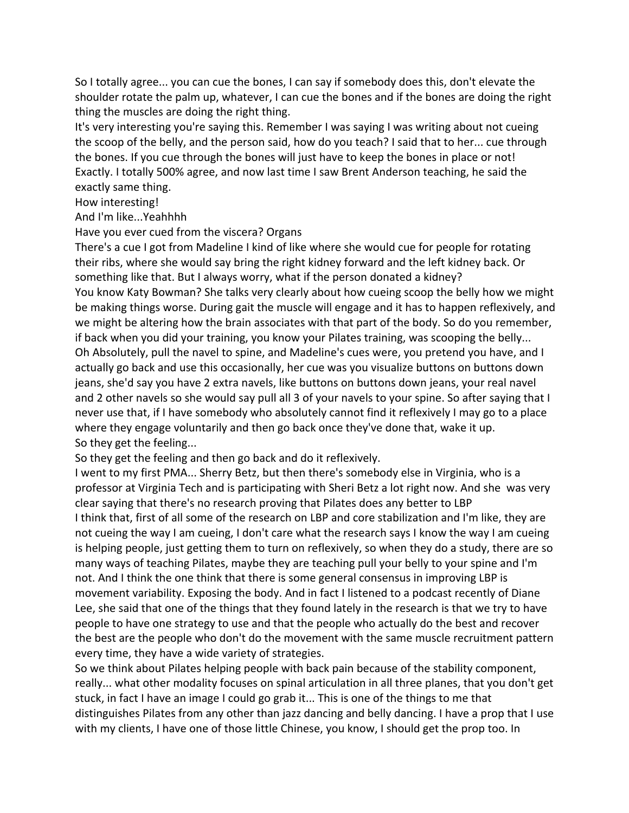So I totally agree... you can cue the bones, I can say if somebody does this, don't elevate the shoulder rotate the palm up, whatever, I can cue the bones and if the bones are doing the right thing the muscles are doing the right thing.

It's very interesting you're saying this. Remember I was saying I was writing about not cueing the scoop of the belly, and the person said, how do you teach? I said that to her... cue through the bones. If you cue through the bones will just have to keep the bones in place or not! Exactly. I totally 500% agree, and now last time I saw Brent Anderson teaching, he said the exactly same thing.

How interesting!

And I'm like...Yeahhhh

Have you ever cued from the viscera? Organs

There's a cue I got from Madeline I kind of like where she would cue for people for rotating their ribs, where she would say bring the right kidney forward and the left kidney back. Or something like that. But I always worry, what if the person donated a kidney? You know Katy Bowman? She talks very clearly about how cueing scoop the belly how we might be making things worse. During gait the muscle will engage and it has to happen reflexively, and we might be altering how the brain associates with that part of the body. So do you remember, if back when you did your training, you know your Pilates training, was scooping the belly... Oh Absolutely, pull the navel to spine, and Madeline's cues were, you pretend you have, and I actually go back and use this occasionally, her cue was you visualize buttons on buttons down jeans, she'd say you have 2 extra navels, like buttons on buttons down jeans, your real navel and 2 other navels so she would say pull all 3 of your navels to your spine. So after saying that  $I$ never use that, if I have somebody who absolutely cannot find it reflexively I may go to a place where they engage voluntarily and then go back once they've done that, wake it up. So they get the feeling...

So they get the feeling and then go back and do it reflexively.

I went to my first PMA... Sherry Betz, but then there's somebody else in Virginia, who is a professor at Virginia Tech and is participating with Sheri Betz a lot right now. And she was very clear saying that there's no research proving that Pilates does any better to LBP

I think that, first of all some of the research on LBP and core stabilization and I'm like, they are not cueing the way I am cueing, I don't care what the research says I know the way I am cueing is helping people, just getting them to turn on reflexively, so when they do a study, there are so many ways of teaching Pilates, maybe they are teaching pull your belly to your spine and I'm not. And I think the one think that there is some general consensus in improving LBP is movement variability. Exposing the body. And in fact I listened to a podcast recently of Diane Lee, she said that one of the things that they found lately in the research is that we try to have people to have one strategy to use and that the people who actually do the best and recover the best are the people who don't do the movement with the same muscle recruitment pattern every time, they have a wide variety of strategies.

So we think about Pilates helping people with back pain because of the stability component, really... what other modality focuses on spinal articulation in all three planes, that you don't get stuck, in fact I have an image I could go grab it... This is one of the things to me that distinguishes Pilates from any other than jazz dancing and belly dancing. I have a prop that I use with my clients, I have one of those little Chinese, you know, I should get the prop too. In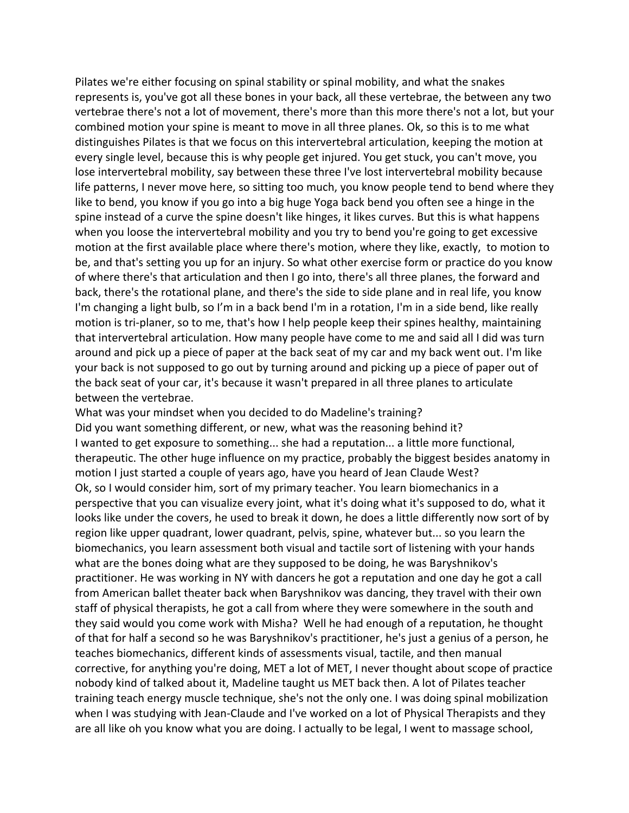Pilates we're either focusing on spinal stability or spinal mobility, and what the snakes represents is, you've got all these bones in your back, all these vertebrae, the between any two vertebrae there's not a lot of movement, there's more than this more there's not a lot, but your combined motion your spine is meant to move in all three planes. Ok, so this is to me what distinguishes Pilates is that we focus on this intervertebral articulation, keeping the motion at every single level, because this is why people get injured. You get stuck, you can't move, you lose intervertebral mobility, say between these three I've lost intervertebral mobility because life patterns, I never move here, so sitting too much, you know people tend to bend where they like to bend, you know if you go into a big huge Yoga back bend you often see a hinge in the spine instead of a curve the spine doesn't like hinges, it likes curves. But this is what happens when you loose the intervertebral mobility and you try to bend you're going to get excessive motion at the first available place where there's motion, where they like, exactly, to motion to be, and that's setting you up for an injury. So what other exercise form or practice do you know of where there's that articulation and then I go into, there's all three planes, the forward and back, there's the rotational plane, and there's the side to side plane and in real life, you know I'm changing a light bulb, so I'm in a back bend I'm in a rotation, I'm in a side bend, like really motion is tri-planer, so to me, that's how I help people keep their spines healthy, maintaining that intervertebral articulation. How many people have come to me and said all I did was turn around and pick up a piece of paper at the back seat of my car and my back went out. I'm like your back is not supposed to go out by turning around and picking up a piece of paper out of the back seat of your car, it's because it wasn't prepared in all three planes to articulate between the vertebrae.

What was your mindset when you decided to do Madeline's training? Did you want something different, or new, what was the reasoning behind it? I wanted to get exposure to something... she had a reputation... a little more functional, therapeutic. The other huge influence on my practice, probably the biggest besides anatomy in motion I just started a couple of years ago, have you heard of Jean Claude West? Ok, so I would consider him, sort of my primary teacher. You learn biomechanics in a perspective that you can visualize every joint, what it's doing what it's supposed to do, what it looks like under the covers, he used to break it down, he does a little differently now sort of by region like upper quadrant, lower quadrant, pelvis, spine, whatever but... so you learn the biomechanics, you learn assessment both visual and tactile sort of listening with your hands what are the bones doing what are they supposed to be doing, he was Baryshnikov's practitioner. He was working in NY with dancers he got a reputation and one day he got a call from American ballet theater back when Baryshnikov was dancing, they travel with their own staff of physical therapists, he got a call from where they were somewhere in the south and they said would you come work with Misha? Well he had enough of a reputation, he thought of that for half a second so he was Baryshnikov's practitioner, he's just a genius of a person, he teaches biomechanics, different kinds of assessments visual, tactile, and then manual corrective, for anything you're doing, MET a lot of MET, I never thought about scope of practice nobody kind of talked about it, Madeline taught us MET back then. A lot of Pilates teacher training teach energy muscle technique, she's not the only one. I was doing spinal mobilization when I was studying with Jean-Claude and I've worked on a lot of Physical Therapists and they are all like oh you know what you are doing. I actually to be legal, I went to massage school,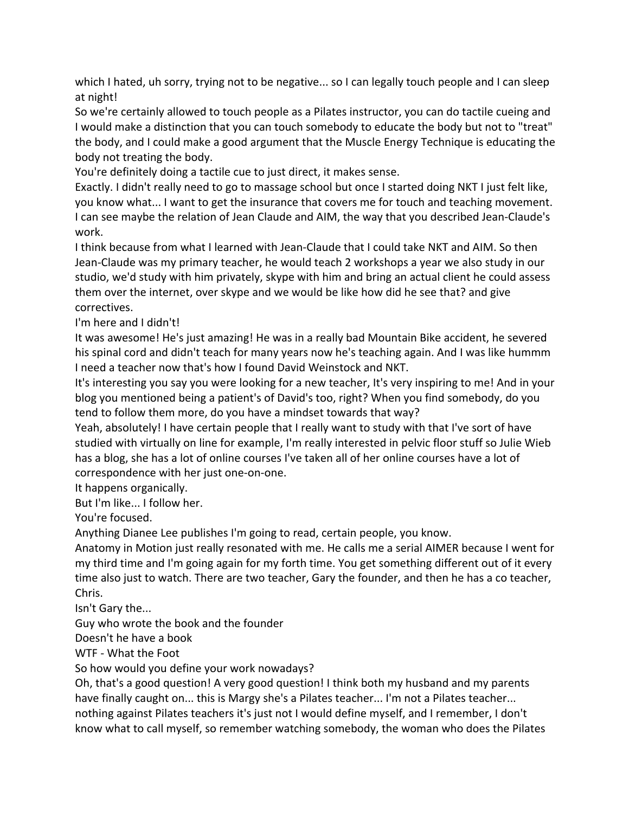which I hated, uh sorry, trying not to be negative... so I can legally touch people and I can sleep at night!

So we're certainly allowed to touch people as a Pilates instructor, you can do tactile cueing and I would make a distinction that you can touch somebody to educate the body but not to "treat" the body, and I could make a good argument that the Muscle Energy Technique is educating the body not treating the body.

You're definitely doing a tactile cue to just direct, it makes sense.

Exactly. I didn't really need to go to massage school but once I started doing NKT I just felt like, you know what... I want to get the insurance that covers me for touch and teaching movement. I can see maybe the relation of Jean Claude and AIM, the way that you described Jean-Claude's work.

I think because from what I learned with Jean-Claude that I could take NKT and AIM. So then Jean-Claude was my primary teacher, he would teach 2 workshops a year we also study in our studio, we'd study with him privately, skype with him and bring an actual client he could assess them over the internet, over skype and we would be like how did he see that? and give correctives.

I'm here and I didn't!

It was awesome! He's just amazing! He was in a really bad Mountain Bike accident, he severed his spinal cord and didn't teach for many years now he's teaching again. And I was like hummm I need a teacher now that's how I found David Weinstock and NKT.

It's interesting you say you were looking for a new teacher, It's very inspiring to me! And in your blog you mentioned being a patient's of David's too, right? When you find somebody, do you tend to follow them more, do you have a mindset towards that way?

Yeah, absolutely! I have certain people that I really want to study with that I've sort of have studied with virtually on line for example, I'm really interested in pelvic floor stuff so Julie Wieb has a blog, she has a lot of online courses I've taken all of her online courses have a lot of correspondence with her just one-on-one.

It happens organically.

But I'm like... I follow her.

You're focused.

Anything Dianee Lee publishes I'm going to read, certain people, you know.

Anatomy in Motion just really resonated with me. He calls me a serial AIMER because I went for my third time and I'm going again for my forth time. You get something different out of it every time also just to watch. There are two teacher, Gary the founder, and then he has a co teacher, Chris.

Isn't Gary the...

Guy who wrote the book and the founder

Doesn't he have a book

WTF - What the Foot

So how would you define your work nowadays?

Oh, that's a good question! A very good question! I think both my husband and my parents have finally caught on... this is Margy she's a Pilates teacher... I'm not a Pilates teacher... nothing against Pilates teachers it's just not I would define myself, and I remember, I don't know what to call myself, so remember watching somebody, the woman who does the Pilates